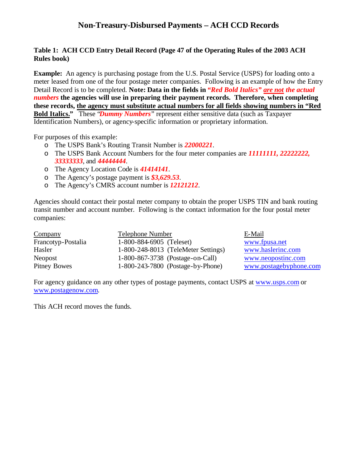# **Non-Treasury-Disbursed Payments – ACH CCD Records**

#### **Table 1: ACH CCD Entry Detail Record (Page 47 of the Operating Rules of the 2003 ACH Rules book)**

**Example:** An agency is purchasing postage from the U.S. Postal Service (USPS) for loading onto a meter leased from one of the four postage meter companies. Following is an example of how the Entry Detail Record is to be completed. **Note: Data in the fields in** *"Red Bold Italics" are not the actual numbers* **the agencies will use in preparing their payment records. Therefore, when completing these records, the agency must substitute actual numbers for all fields showing numbers in "Red Bold Italics."** These "*Dummy Numbers*" represent either sensitive data (such as Taxpayer Identification Numbers), or agency-specific information or proprietary information.

For purposes of this example:

- o The USPS Bank's Routing Transit Number is *22000221*.
- o The USPS Bank Account Numbers for the four meter companies are *11111111, 22222222, 33333333*, and *44444444*.
- o The Agency Location Code is *41414141*.
- o The Agency's postage payment is *\$3,629.53*.
- o The Agency's CMRS account number is *12121212*.

Agencies should contact their postal meter company to obtain the proper USPS TIN and bank routing transit number and account number. Following is the contact information for the four postal meter companies:

| Company             | <b>Telephone Number</b>             | E-Mail                 |
|---------------------|-------------------------------------|------------------------|
| Francotyp-Postalia  | 1-800-884-6905 (Teleset)            | www.fpusa.net          |
| Hasler              | 1-800-248-8013 (TeleMeter Settings) | www.haslerinc.com      |
| Neopost             | 1-800-867-3738 (Postage-on-Call)    | www.neopostinc.com     |
| <b>Pitney Bowes</b> | 1-800-243-7800 (Postage-by-Phone)   | www.postagebyphone.com |

For agency guidance on any other types of postage payments, contact USPS at www.usps.com or www.postagenow.com.

This ACH record moves the funds.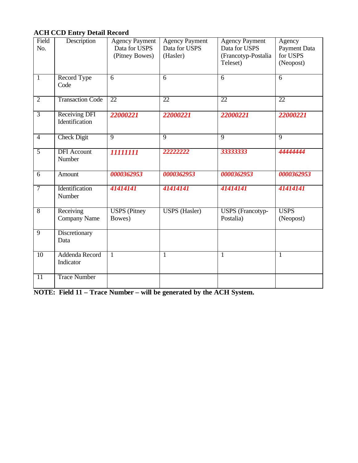# **ACH CCD Entry Detail Record**

| Field<br>No.    | Description                            | <b>Agency Payment</b><br>Data for USPS | <b>Agency Payment</b><br>Data for USPS | <b>Agency Payment</b><br>Data for USPS | Agency<br>Payment Data   |
|-----------------|----------------------------------------|----------------------------------------|----------------------------------------|----------------------------------------|--------------------------|
|                 |                                        | (Pitney Bowes)                         | (Hasler)                               | (Francotyp-Postalia                    | for USPS                 |
|                 |                                        |                                        |                                        | Teleset)                               | (Neopost)                |
| $\overline{1}$  | Record Type<br>Code                    | $\overline{6}$                         | $\overline{6}$                         | $\overline{6}$                         | $\overline{6}$           |
| $\overline{2}$  | <b>Transaction Code</b>                | $\overline{22}$                        | $\overline{22}$                        | $\overline{22}$                        | $\overline{22}$          |
| $\overline{3}$  | <b>Receiving DFI</b><br>Identification | 22000221                               | 22000221                               | 22000221                               | 22000221                 |
| $\overline{4}$  | <b>Check Digit</b>                     | $\overline{9}$                         | $\overline{9}$                         | $\overline{9}$                         | $\overline{9}$           |
| $\overline{5}$  | <b>DFI</b> Account<br>Number           | 11111111                               | 22222222                               | 33333333                               | 4444444                  |
| $\overline{6}$  | Amount                                 | 0000362953                             | 0000362953                             | 0000362953                             | 0000362953               |
| $\overline{7}$  | Identification<br>Number               | 41414141                               | 41414141                               | 41414141                               | 41414141                 |
| $\overline{8}$  | Receiving<br><b>Company Name</b>       | <b>USPS</b> (Pitney<br>Bowes)          | <b>USPS</b> (Hasler)                   | <b>USPS</b> (Francotyp-<br>Postalia)   | <b>USPS</b><br>(Neopost) |
| $\overline{9}$  | Discretionary<br>Data                  |                                        |                                        |                                        |                          |
| 10              | Addenda Record<br>Indicator            | $\mathbf{1}$                           | $\mathbf{1}$                           | 1                                      | $\overline{1}$           |
| $\overline{11}$ | <b>Trace Number</b>                    |                                        |                                        |                                        |                          |

**NOTE: Field 11 – Trace Number – will be generated by the ACH System.**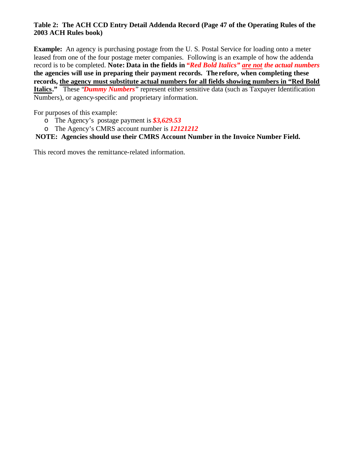### **Table 2: The ACH CCD Entry Detail Addenda Record (Page 47 of the Operating Rules of the 2003 ACH Rules book)**

**Example:** An agency is purchasing postage from the U.S. Postal Service for loading onto a meter leased from one of the four postage meter companies. Following is an example of how the addenda record is to be completed. **Note: Data in the fields in** *"Red Bold Italics" are not the actual numbers*  **the agencies will use in preparing their payment records. The refore, when completing these records, the agency must substitute actual numbers for all fields showing numbers in "Red Bold Italics."** These "*Dummy Numbers*" represent either sensitive data (such as Taxpayer Identification Numbers), or agency-specific and proprietary information.

For purposes of this example:

- o The Agency's postage payment is *\$3,629.53*
- o The Agency's CMRS account number is *12121212*

### **NOTE: Agencies should use their CMRS Account Number in the Invoice Number Field.**

This record moves the remittance-related information.